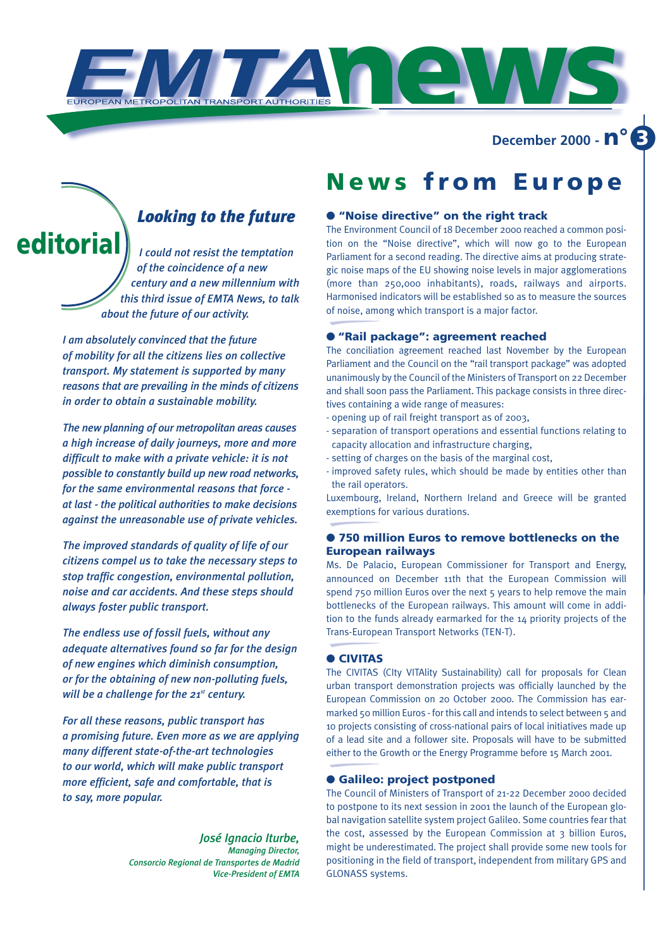**news December 2000 - n° 3**

### *Looking to the future*

*I could not resist the temptation of the coincidence of a new century and a new millennium with this third issue of EMTA News, to talk about the future of our activity.* **editoria** 

> *I am absolutely convinced that the future of mobility for all the citizens lies on collective transport. My statement is supported by many reasons that are prevailing in the minds of citizens in order to obtain a sustainable mobility.*

> *The new planning of our metropolitan areas causes a high increase of daily journeys, more and more difficult to make with a private vehicle: it is not possible to constantly build up new road networks, for the same environmental reasons that force at last - the political authorities to make decisions against the unreasonable use of private vehicles.*

> *The improved standards of quality of life of our citizens compel us to take the necessary steps to stop traffic congestion, environmental pollution, noise and car accidents. And these steps should always foster public transport.*

> *The endless use of fossil fuels, without any adequate alternatives found so far for the design of new engines which diminish consumption, or for the obtaining of new non-polluting fuels, will be a challenge for the 21st century.*

*For all these reasons, public transport has a promising future. Even more as we are applying many different state-of-the-art technologies to our world, which will make public transport more efficient, safe and comfortable, that is to say, more popular.*

> *José Ignacio Iturbe, Managing Director, Consorcio Regional de Transportes de Madrid Vice-President of EMTA*

### **News from Europe**

### ● **"Noise directive" on the right track**

The Environment Council of 18 December 2000 reached a common position on the "Noise directive", which will now go to the European Parliament for a second reading. The directive aims at producing strategic noise maps of the EU showing noise levels in major agglomerations (more than 250,000 inhabitants), roads, railways and airports. Harmonised indicators will be established so as to measure the sources of noise, among which transport is a major factor.

#### ● **"Rail package": agreement reached**

The conciliation agreement reached last November by the European Parliament and the Council on the "rail transport package" was adopted unanimously by the Council of the Ministers of Transport on 22 December and shall soon pass the Parliament. This package consists in three directives containing a wide range of measures:

- opening up of rail freight transport as of 2003,
- separation of transport operations and essential functions relating to capacity allocation and infrastructure charging,
- setting of charges on the basis of the marginal cost,
- improved safety rules, which should be made by entities other than the rail operators.

Luxembourg, Ireland, Northern Ireland and Greece will be granted exemptions for various durations.

#### ● **750 million Euros to remove bottlenecks on the European railways**

Ms. De Palacio, European Commissioner for Transport and Energy, announced on December 11th that the European Commission will spend 750 million Euros over the next 5 years to help remove the main bottlenecks of the European railways. This amount will come in addition to the funds already earmarked for the 14 priority projects of the Trans-European Transport Networks (TEN-T).

#### ● **CIVITAS**

The CIVITAS (CIty VITAlity Sustainability) call for proposals for Clean urban transport demonstration projects was officially launched by the European Commission on 20 October 2000. The Commission has earmarked 50 million Euros - for this call and intends to select between 5 and 10 projects consisting of cross-national pairs of local initiatives made up of a lead site and a follower site. Proposals will have to be submitted either to the Growth or the Energy Programme before 15 March 2001.

#### ● **Galileo: project postponed**

The Council of Ministers of Transport of 21-22 December 2000 decided to postpone to its next session in 2001 the launch of the European global navigation satellite system project Galileo. Some countries fear that the cost, assessed by the European Commission at 3 billion Euros, might be underestimated. The project shall provide some new tools for positioning in the field of transport, independent from military GPS and GLONASS systems.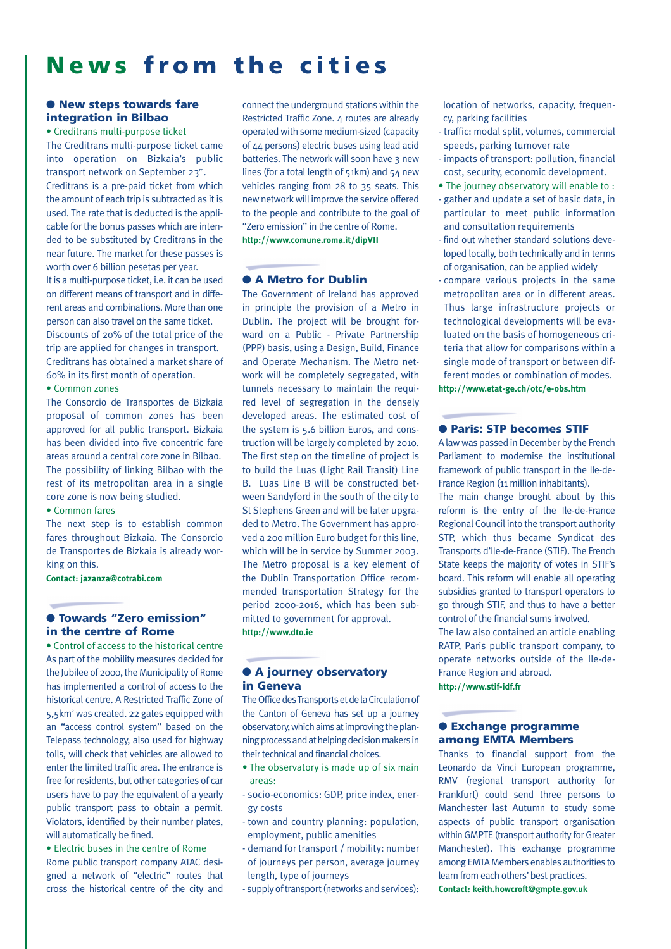# **News from the cities**

#### ● **New steps towards fare integration in Bilbao**

• Creditrans multi-purpose ticket The Creditrans multi-purpose ticket came into operation on Bizkaia's public transport network on September 23rd. Creditrans is a pre-paid ticket from which the amount of each trip is subtracted as it is used. The rate that is deducted is the applicable for the bonus passes which are intended to be substituted by Creditrans in the near future. The market for these passes is worth over 6 billion pesetas per year. It is a multi-purpose ticket, i.e. it can be used on different means of transport and in different areas and combinations. More than one person can also travel on the same ticket. Discounts of 20% of the total price of the trip are applied for changes in transport. Creditrans has obtained a market share of 60% in its first month of operation. • Common zones

The Consorcio de Transportes de Bizkaia proposal of common zones has been approved for all public transport. Bizkaia has been divided into five concentric fare areas around a central core zone in Bilbao. The possibility of linking Bilbao with the rest of its metropolitan area in a single core zone is now being studied.

#### • Common fares

The next step is to establish common fares throughout Bizkaia. The Consorcio de Transportes de Bizkaia is already working on this.

**Contact: jazanza@cotrabi.com**

#### ● **Towards "Zero emission" in the centre of Rome**

• Control of access to the historical centre As part of the mobility measures decided for the Jubilee of 2000, the Municipality of Rome has implemented a control of access to the historical centre. A Restricted Traffic Zone of 5,5km2 was created. 22 gates equipped with an "access control system" based on the Telepass technology, also used for highway tolls, will check that vehicles are allowed to enter the limited traffic area. The entrance is free for residents, but other categories of car users have to pay the equivalent of a yearly public transport pass to obtain a permit. Violators, identified by their number plates, will automatically be fined.

• Electric buses in the centre of Rome Rome public transport company ATAC designed a network of "electric" routes that cross the historical centre of the city and connect the underground stations within the Restricted Traffic Zone. 4 routes are already operated with some medium-sized (capacity of 44 persons) electric buses using lead acid batteries. The network will soon have 3 new lines (for a total length of 51km) and 54 new vehicles ranging from 28 to 35 seats. This new network will improve the service offered to the people and contribute to the goal of "Zero emission" in the centre of Rome. **http://www.comune.roma.it/dipVII**

#### ● **A Metro for Dublin**

The Government of Ireland has approved in principle the provision of a Metro in Dublin. The project will be brought forward on a Public - Private Partnership (PPP) basis, using a Design, Build, Finance and Operate Mechanism. The Metro network will be completely segregated, with tunnels necessary to maintain the required level of segregation in the densely developed areas. The estimated cost of the system is 5.6 billion Euros, and construction will be largely completed by 2010. The first step on the timeline of project is to build the Luas (Light Rail Transit) Line B. Luas Line B will be constructed between Sandyford in the south of the city to St Stephens Green and will be later upgraded to Metro. The Government has approved a 200 million Euro budget for this line, which will be in service by Summer 2003. The Metro proposal is a key element of the Dublin Transportation Office recommended transportation Strategy for the period 2000-2016, which has been submitted to government for approval. **http://www.dto.ie**

#### ● **A journey observatory in Geneva**

The Office des Transports et de la Circulation of the Canton of Geneva has set up a journey observatory, which aims at improving the planning process and at helping decision makers in their technical and financial choices.

- The observatory is made up of six main areas:
- socio-economics: GDP, price index, energy costs
- town and country planning: population, employment, public amenities
- demand for transport / mobility: number of journeys per person, average journey length, type of journeys
- supply of transport (networks and services):

location of networks, capacity, frequency, parking facilities

- traffic: modal split, volumes, commercial speeds, parking turnover rate
- impacts of transport: pollution, financial cost, security, economic development.
- The journey observatory will enable to :
- gather and update a set of basic data, in particular to meet public information and consultation requirements
- find out whether standard solutions developed locally, both technically and in terms of organisation, can be applied widely
- compare various projects in the same metropolitan area or in different areas. Thus large infrastructure projects or technological developments will be evaluated on the basis of homogeneous criteria that allow for comparisons within a single mode of transport or between different modes or combination of modes. **http://www.etat-ge.ch/otc/e-obs.htm**

#### ● **Paris: STP becomes STIF**

A law was passed in December by the French Parliament to modernise the institutional framework of public transport in the Ile-de-France Region (11 million inhabitants).

The main change brought about by this reform is the entry of the Ile-de-France Regional Council into the transport authority STP, which thus became Syndicat des Transports d'Ile-de-France (STIF). The French State keeps the majority of votes in STIF's board. This reform will enable all operating subsidies granted to transport operators to go through STIF, and thus to have a better control of the financial sums involved. The law also contained an article enabling RATP, Paris public transport company, to operate networks outside of the Ile-de-France Region and abroad.

**http://www.stif-idf.fr**

#### ● **Exchange programme among EMTA Members**

Thanks to financial support from the Leonardo da Vinci European programme, RMV (regional transport authority for Frankfurt) could send three persons to Manchester last Autumn to study some aspects of public transport organisation within GMPTE (transport authority for Greater Manchester). This exchange programme among EMTA Members enables authorities to learn from each others' best practices. **Contact: keith.howcroft@gmpte.gov.uk**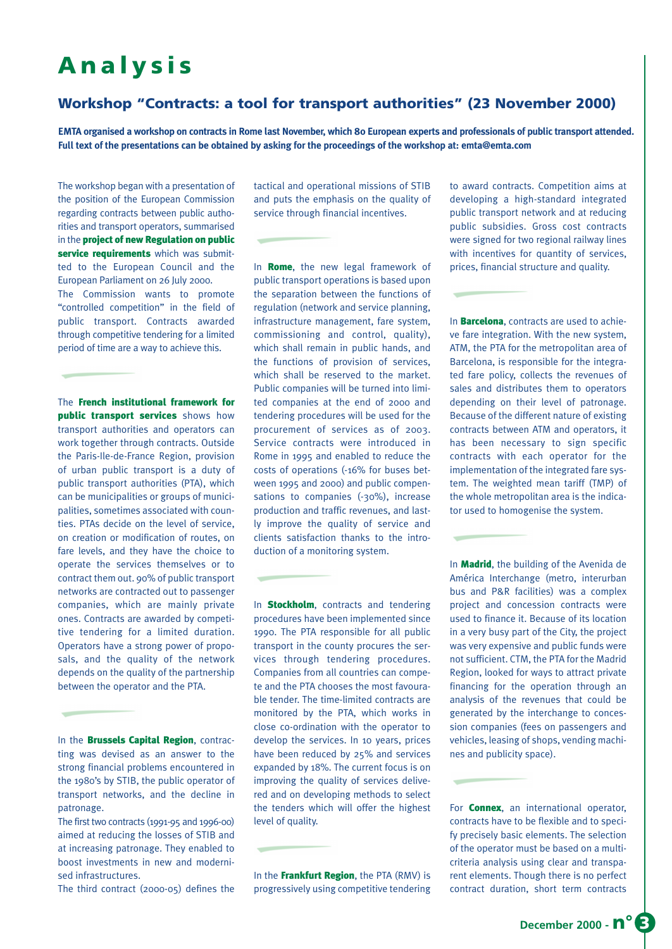# **Analysis**

### **Workshop "Contracts: a tool for transport authorities" (23 November 2000)**

**EMTA organised a workshop on contracts in Rome last November, which 80 European experts and professionals of public transport attended. Full text of the presentations can be obtained by asking for the proceedings of the workshop at: emta@emta.com**

The workshop began with a presentation of the position of the European Commission regarding contracts between public authorities and transport operators, summarised in the project of new Regulation on public service requirements which was submitted to the European Council and the European Parliament on 26 July 2000. The Commission wants to promote "controlled competition" in the field of public transport. Contracts awarded through competitive tendering for a limited period of time are a way to achieve this.

The French institutional framework for public transport services shows how transport authorities and operators can work together through contracts. Outside the Paris-Ile-de-France Region, provision of urban public transport is a duty of public transport authorities (PTA), which can be municipalities or groups of municipalities, sometimes associated with counties. PTAs decide on the level of service, on creation or modification of routes, on fare levels, and they have the choice to operate the services themselves or to contract them out. 90% of public transport networks are contracted out to passenger companies, which are mainly private ones. Contracts are awarded by competitive tendering for a limited duration. Operators have a strong power of proposals, and the quality of the network depends on the quality of the partnership between the operator and the PTA.

In the **Brussels Capital Region**, contracting was devised as an answer to the strong financial problems encountered in the 1980's by STIB, the public operator of transport networks, and the decline in patronage.

The first two contracts (1991-95 and 1996-00) aimed at reducing the losses of STIB and at increasing patronage. They enabled to boost investments in new and modernised infrastructures.

The third contract (2000-05) defines the

tactical and operational missions of STIB and puts the emphasis on the quality of service through financial incentives.

In **Rome**, the new legal framework of public transport operations is based upon the separation between the functions of regulation (network and service planning, infrastructure management, fare system, commissioning and control, quality), which shall remain in public hands, and the functions of provision of services, which shall be reserved to the market. Public companies will be turned into limited companies at the end of 2000 and tendering procedures will be used for the procurement of services as of 2003. Service contracts were introduced in Rome in 1995 and enabled to reduce the costs of operations (-16% for buses between 1995 and 2000) and public compensations to companies (-30%), increase production and traffic revenues, and lastly improve the quality of service and clients satisfaction thanks to the introduction of a monitoring system.

In **Stockholm**, contracts and tendering procedures have been implemented since 1990. The PTA responsible for all public transport in the county procures the services through tendering procedures. Companies from all countries can compete and the PTA chooses the most favourable tender. The time-limited contracts are monitored by the PTA, which works in close co-ordination with the operator to develop the services. In 10 years, prices have been reduced by 25% and services expanded by 18%. The current focus is on improving the quality of services delivered and on developing methods to select the tenders which will offer the highest level of quality.

In the Frankfurt Region, the PTA (RMV) is progressively using competitive tendering

to award contracts. Competition aims at developing a high-standard integrated public transport network and at reducing public subsidies. Gross cost contracts were signed for two regional railway lines with incentives for quantity of services, prices, financial structure and quality.

In **Barcelona**, contracts are used to achieve fare integration. With the new system, ATM, the PTA for the metropolitan area of Barcelona, is responsible for the integrated fare policy, collects the revenues of sales and distributes them to operators depending on their level of patronage. Because of the different nature of existing contracts between ATM and operators, it has been necessary to sign specific contracts with each operator for the implementation of the integrated fare system. The weighted mean tariff (TMP) of the whole metropolitan area is the indicator used to homogenise the system.

In Madrid, the building of the Avenida de América Interchange (metro, interurban bus and P&R facilities) was a complex project and concession contracts were used to finance it. Because of its location in a very busy part of the City, the project was very expensive and public funds were not sufficient. CTM, the PTA for the Madrid Region, looked for ways to attract private financing for the operation through an analysis of the revenues that could be generated by the interchange to concession companies (fees on passengers and vehicles, leasing of shops, vending machines and publicity space).

For **Connex**, an international operator, contracts have to be flexible and to specify precisely basic elements. The selection of the operator must be based on a multicriteria analysis using clear and transparent elements. Though there is no perfect contract duration, short term contracts